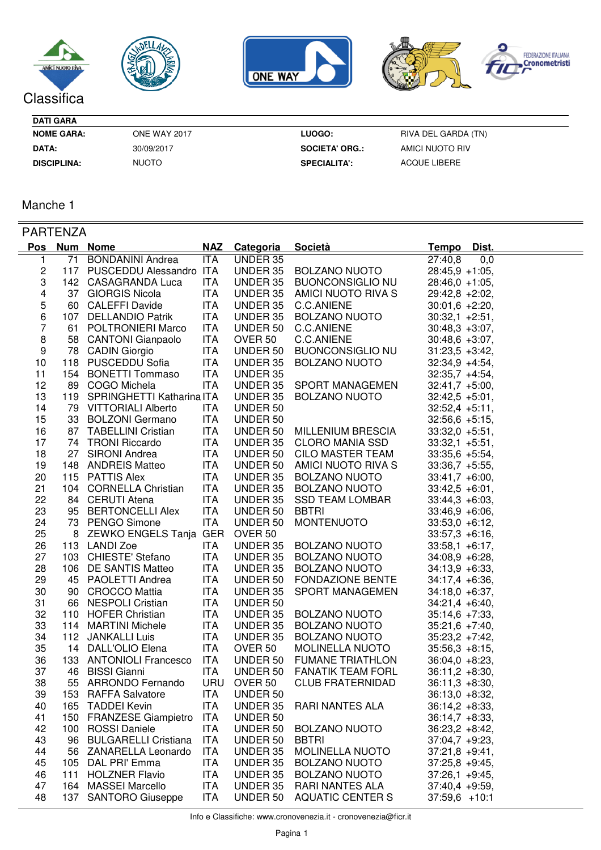







**DATI GARA**

**NOME GARA: LUOGO:** ONE WAY 2017

30/09/2017 NUOTO

**DATA:** 30/09/2017 **SOCIETA' ORG.: DISCIPLINA: SPECIALITA':**

RIVA DEL GARDA (TN) AMICI NUOTO RIV ACQUE LIBERE

Manche 1

| <b>PARTENZA</b> |              |                               |            |                    |                             |                   |
|-----------------|--------------|-------------------------------|------------|--------------------|-----------------------------|-------------------|
|                 | Pos Num Nome |                               | <b>NAZ</b> | <b>Categoria</b>   | <b>Società</b>              | Tempo Dist.       |
| 1               |              | 71 BONDANINI Andrea           | <b>ITA</b> | <b>UNDER 35</b>    |                             | 27:40,8<br>0,0    |
| 2               |              | 117 PUSCEDDU Alessandro ITA   |            |                    | UNDER 35 BOLZANO NUOTO      | $28:45,9 +1:05,$  |
| 3               |              | 142 CASAGRANDA Luca           | <b>ITA</b> | UNDER 35           | <b>BUONCONSIGLIO NU</b>     | $28:46,0 +1:05$ , |
| 4               |              | 37 GIORGIS Nicola             | <b>ITA</b> | UNDER 35           | AMICI NUOTO RIVA S          | $29:42,8 +2:02$   |
| 5               |              | 60 CALEFFI Davide             | <b>ITA</b> | UNDER 35           | C.C.ANIENE                  | $30:01,6 +2:20,$  |
| 6               |              | 107 DELLANDIO Patrik          | ITA        | UNDER 35           | <b>BOLZANO NUOTO</b>        | $30:32,1 +2:51,$  |
| $\overline{7}$  |              | 61 POLTRONIERI Marco          | <b>ITA</b> | UNDER 50           | C.C.ANIENE                  | $30:48.3 +3:07$ , |
| 8               |              | 58 CANTONI Gianpaolo          | <b>ITA</b> | OVER 50            | C.C.ANIENE                  | $30:48,6 +3:07,$  |
| 9               |              | 78 CADIN Giorgio              | <b>ITA</b> | UNDER 50           | <b>BUONCONSIGLIO NU</b>     | $31:23,5 +3:42,$  |
| 10              |              | 118 PUSCEDDU Sofia            | <b>ITA</b> | UNDER 35           | <b>BOLZANO NUOTO</b>        | $32:34,9 +4:54,$  |
| 11              |              | 154 BONETTI Tommaso           | <b>ITA</b> | UNDER 35           |                             | $32:35,7 +4:54,$  |
| 12              |              | 89 COGO Michela               | <b>ITA</b> | UNDER 35           | <b>SPORT MANAGEMEN</b>      | $32:41,7 +5:00,$  |
| 13              |              | 119 SPRINGHETTI Katharina ITA |            | UNDER 35           | <b>BOLZANO NUOTO</b>        | $32:42,5 +5:01,$  |
| 14              |              | 79 VITTORIALI Alberto         | ITA        | UNDER 50           |                             | $32:52,4 +5:11,$  |
| 15              |              | 33 BOLZONI Germano            | <b>ITA</b> | UNDER 50           |                             | $32:56,6 +5:15,$  |
| 16              |              | 87 TABELLINI Cristian         | <b>ITA</b> | UNDER 50           | <b>MILLENIUM BRESCIA</b>    | $33:32,0 +5:51,$  |
| 17              |              | 74 TRONI Riccardo             | ITA        | UNDER 35           | <b>CLORO MANIA SSD</b>      | $33:32,1 +5:51,$  |
| 18              |              | 27 SIRONI Andrea              | ITA        | UNDER 50           | CILO MASTER TEAM            | $33:35,6 +5:54,$  |
| 19              |              | 148 ANDREIS Matteo            | ITA        |                    | UNDER 50 AMICI NUOTO RIVA S | $33:36,7 +5:55,$  |
| 20              |              | 115 PATTIS Alex               | ITA        |                    | UNDER 35 BOLZANO NUOTO      | $33:41,7 +6:00,$  |
| 21              |              | 104 CORNELLA Christian        | ITA        |                    | UNDER 35 BOLZANO NUOTO      | $33:42,5 +6:01,$  |
| 22              |              | 84 CERUTI Atena               | ITA        | UNDER 35           | <b>SSD TEAM LOMBAR</b>      | $33:44,3 +6:03,$  |
| 23              |              | 95 BERTONCELLI Alex           | ITA        | UNDER 50           | <b>BBTRI</b>                | $33:46,9 +6:06,$  |
| 24              |              | 73 PENGO Simone               | <b>ITA</b> | UNDER 50           | <b>MONTENUOTO</b>           | $33:53,0 +6:12,$  |
| 25              |              | 8 ZEWKO ENGELS Tanja GER      |            | OVER 50            |                             | $33:57,3 +6:16,$  |
| 26              |              | 113 LANDI Zoe                 | <b>ITA</b> | UNDER 35           | <b>BOLZANO NUOTO</b>        | $33:58,1 +6:17,$  |
| 27              |              | 103 CHIESTE' Stefano          | ITA        | UNDER 35           | <b>BOLZANO NUOTO</b>        | $34:08,9 +6:28,$  |
| 28              |              | 106 DE SANTIS Matteo          | <b>ITA</b> | UNDER 35           | <b>BOLZANO NUOTO</b>        | $34:13,9 +6:33,$  |
| 29              |              | 45 PAOLETTI Andrea            | <b>ITA</b> | UNDER 50           | <b>FONDAZIONE BENTE</b>     | $34:17,4 +6:36,$  |
| 30              |              | 90 CROCCO Mattia              | ITA        | UNDER 35           | SPORT MANAGEMEN             | $34:18,0 +6:37,$  |
| 31              |              | 66 NESPOLI Cristian           | ITA        | UNDER 50           |                             | $34:21,4 +6:40,$  |
| 32              |              | 110 HOFER Christian           | ITA        |                    | UNDER 35 BOLZANO NUOTO      | $35:14,6 +7:33,$  |
| 33              |              | 114 MARTINI Michele           | ITA        | UNDER 35           | <b>BOLZANO NUOTO</b>        | $35:21,6 +7:40,$  |
| 34              |              | 112 JANKALLI Luis             | ITA        | UNDER 35           | <b>BOLZANO NUOTO</b>        | $35:23,2 +7:42,$  |
| 35              |              | 14 DALL'OLIO Elena            | <b>ITA</b> | OVER 50            | <b>MOLINELLA NUOTO</b>      | $35:56,3 +8:15,$  |
| 36              |              | 133 ANTONIOLI Francesco       | <b>ITA</b> | UNDER 50           | <b>FUMANE TRIATHLON</b>     | $36:04,0 +8:23,$  |
| 37              |              | 46 BISSI Gianni               | ITA        | UNDER 50           | <b>FANATIK TEAM FORL</b>    | $36:11,2 +8:30,$  |
| 38              |              | 55 ARRONDO Fernando           | <b>URU</b> | OVER <sub>50</sub> | <b>CLUB FRATERNIDAD</b>     | $36:11,3 +8:30,$  |
| 39              | 153          | <b>RAFFA Salvatore</b>        | <b>ITA</b> | UNDER 50           |                             | $36:13,0 +8:32,$  |
| 40              | 165          | <b>TADDEI Kevin</b>           | <b>ITA</b> | UNDER 35           | <b>RARI NANTES ALA</b>      | $36:14.2 + 8:33$  |
| 41              | 150          | <b>FRANZESE Giampietro</b>    | <b>ITA</b> | UNDER 50           |                             | $36:14,7 +8:33,$  |
| 42              | 100          | <b>ROSSI Daniele</b>          | <b>ITA</b> | UNDER 50           | <b>BOLZANO NUOTO</b>        | $36:23,2 +8:42,$  |
| 43              | 96           | <b>BULGARELLI Cristiana</b>   | <b>ITA</b> | UNDER 50           | <b>BBTRI</b>                | $37:04,7 +9:23,$  |
| 44              |              | 56 ZANARELLA Leonardo         | <b>ITA</b> | UNDER 35           | <b>MOLINELLA NUOTO</b>      | $37:21,8 +9:41,$  |
| 45              | 105          | DAL PRI' Emma                 | <b>ITA</b> | UNDER 35           | <b>BOLZANO NUOTO</b>        | $37:25,8 +9:45,$  |
| 46              | 111          | <b>HOLZNER Flavio</b>         | <b>ITA</b> | UNDER 35           | <b>BOLZANO NUOTO</b>        | $37:26,1 +9:45,$  |
| 47              | 164          | <b>MASSEI Marcello</b>        | ITA        | UNDER 35           | RARI NANTES ALA             | $37:40,4$ +9:59,  |
| 48              | 137          | <b>SANTORO Giuseppe</b>       | <b>ITA</b> | UNDER 50           | <b>AQUATIC CENTER S</b>     | $37:59,6$ +10:1   |

Info e Classifiche: www.cronovenezia.it - cronovenezia@ficr.it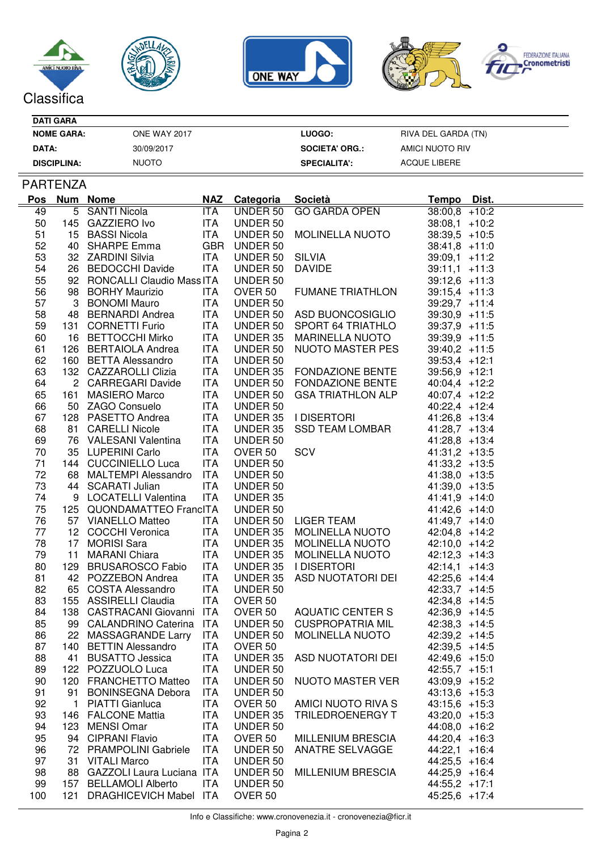







## **DATI GARA**

| <b>NOME GARA:</b>  | ONE WAY 2017 | LUOGO: I              | RIVA DEL GARDA (TN) |
|--------------------|--------------|-----------------------|---------------------|
| DATA:              | 30/09/2017   | <b>SOCIETA' ORG.:</b> | AMICI NUOTO RIV     |
| <b>DISCIPLINA:</b> | <b>NUOTO</b> | <b>SPECIALITA':</b>   | ACQUE LIBERE        |

## PARTENZA

| <b>GO GARDA OPEN</b><br>49<br>5 SANTI Nicola<br><b>ITA</b><br>UNDER 50<br>$38:00,8$ +10:2<br>50<br>145 GAZZIERO Ivo<br>ITA UNDER 50<br>$38:08,1$ +10:2<br>15 BASSI Nicola ITA UNDER 50<br>51<br>MOLINELLA NUOTO<br>$38:39,5$ +10:5<br>40 SHARPE Emma GBR UNDER 50<br>52<br>$38:41,8$ +11:0<br>SILVIA<br>53<br>32 ZARDINI Silvia ITA<br>26 BEDOCCHI Davide ITA<br>UNDER 50<br>$39:09,1$ +11:2<br>54<br>UNDER 50<br><b>DAVIDE</b><br>$39:11,1$ +11:3<br>55<br>92 RONCALLI Claudio Mass ITA<br>UNDER 50<br>$39:12,6$ +11:3<br>56<br>98 BORHY Maurizio ITA<br>OVER 50<br>FUMANE TRIATHLON<br>$39:15,4$ +11:3<br>3 BONOMI Mauro<br>57<br>ITA<br>UNDER 50<br>$39:29.7 +11:4$<br>48 BERNARDI Andrea ITA<br>ITA UNDER 50 ASD BUONCOSIGLIO<br>ITA UNDER 50 SPORT 64 TRIATHLO<br>58<br>$39:30,9$ +11:5<br>48 BERNARDI Anarea<br>131 CORNETTI Furio ITA UNDER 50 SPORT 64 TRIA I HLU<br>16 BETTOCCHI Mirko ITA UNDER 35 MARINELLA NUOTO<br>59<br>$39:37,9$ +11:5<br>60<br>$39:39.9 +11:5$<br>61<br>$39:40,2$ +11:5<br>160 BETTA Alessandro<br>132 CAZZAROLLI Clizia<br>62<br>ITA<br>UNDER 50<br>$39:53,4$ +12:1<br>ITA UNDER 50<br>ITA UNDER 35 FONDAZIONE BENTE<br>ITA UNDER 50 FONDAZIONE BENTE<br>ITA UNDER 50 GSA TRIATHLON ALP<br>ITA UNDER 50<br>63<br>$39:56,9$ +12:1<br>64<br>2 CARREGARI Davide<br>$40:04,4$ +12:2<br>161 MASIERO Marco<br>65<br>$40:07,4$ +12:2<br>50 ZAGO Consuelo<br>66<br><b>ITA</b><br>UNDER 50<br>$40:22,4$ +12:4<br>128 PASETTO Andrea ITA UNDER 35 I DISERTORI<br>81 CARELLI Nicole ITA UNDER 35 SSD TEAM LOMBAR<br>67<br>$41:26,8$ +13:4<br>68<br>$41:28,7$ +13:4<br>76 VALESANI Valentina<br>UNDER 50<br>OVER 50<br>OVER 50<br>COVER 50<br>UNDER 50<br>UNDER 50<br>UNDER 50<br>UNDER 35<br>UNDER 35<br>ITA<br>69<br>$41:28,8$ +13:4<br>70<br>35 LUPERINI Carlo ITA<br>$41:31,2$ +13:5<br>71<br>144 CUCCINIELLO Luca<br>ITA<br>$41:33,2$ +13:5<br>68 MALTEMPI Alessandro ITA<br>72<br>$41:38,0$ +13:5<br>73<br>44 SCARATI Julian ITA<br>$41:39.0 +13:5$<br>74<br>9 LOCATELLI Valentina ITA<br>$41:41,9$ +14:0<br>75<br>125 QUONDAMATTEO FrancITA<br>UNDER 50<br>$41:42,6$ +14:0<br>UNDER 50 LIGER TEAM<br>UNDER 35 MOLINELLA NUOTO<br>76<br>57 VIANELLO Matteo ITA<br>$41:49,7$ +14:0<br>12 COCCHI Veronica<br>77<br>ITA<br>$42:04,8$ +14:2<br>UNDER 35 MOLINELLA NUOTO<br>78<br>ITA<br>17 MORISI Sara<br>$42:10,0$ +14:2<br>UNDER 35 MOLINELLA NUOTO<br>11 MARANI Chiara<br>79<br>ITA<br>$42:12,3$ +14:3<br>80<br>129 BRUSAROSCO Fabio<br>ITA<br>UNDER 35 I DISERTORI<br>$42:14,1$ +14:3<br>81<br>42 POZZEBON Andrea<br>ITA<br>ASD NUOTATORI DEI<br>UNDER 35<br>$42:25,6$ +14:4<br>82<br>65 COSTA Alessandro<br>155 ASSIRELLI Claudia<br>ITA<br>UNDER 50<br>42:33,7 +14:5<br>155 ASSIRELLI Claudia<br>83<br><b>ITA</b><br>OVER 50<br>$42:34,8$ +14:5<br>AQUATIC CENTER S<br>84<br>138 CASTRACANI Giovanni ITA<br>OVER 50<br>$42:36,9$ +14:5<br>UNDER 50 CUSPROPATRIA MIL<br>85<br>99 CALANDRINO Caterina ITA<br>$42:38.3 +14:5$<br>86<br>22 MASSAGRANDE Larry ITA<br>UNDER 50<br>MOLINELLA NUOTO<br>$42:39,2$ +14:5<br>87<br>140 BETTIN Alessandro ITA OVER 50<br>$42:39,5$ +14:5<br>ASD NUOTATORI DEI<br>41 BUSATTO Jessica<br>ITA<br>UNDER 35<br>$42:49,6$ +15:0<br>88<br>89<br>122 POZZUOLO Luca<br>ITA<br>UNDER 50<br>$42:55,7$ +15:1<br>90<br>120 FRANCHETTO Matteo<br>ITA<br>UNDER 50<br>NUOTO MASTER VER<br>43:09,9 +15:2<br>91<br>91 BONINSEGNA Debora<br>ITA<br>UNDER 50<br>$43:13,6$ +15:3<br>92<br>1 PIATTI Gianluca<br><b>ITA</b><br>OVER 50<br>AMICI NUOTO RIVA S<br>$43:15,6$ +15:3<br>93<br>146 FALCONE Mattia<br><b>ITA</b><br>UNDER 35<br>TRILEDROENERGY T<br>$43:20,0$ +15:3<br>94<br>123 MENSI Omar<br><b>ITA</b><br>UNDER 50<br>$44:08,0$ +16:2<br>95<br>94 CIPRANI Flavio<br>ITA<br>OVER 50<br>MILLENIUM BRESCIA<br>$44:20,4$ +16:3<br>96<br><b>ITA</b><br>UNDER 50<br>ANATRE SELVAGGE<br>$44:22,1$ +16:4<br>72 PRAMPOLINI Gabriele<br>97<br>31 VITALI Marco<br>ITA<br>UNDER 50<br>$44:25,5$ +16:4<br><b>MILLENIUM BRESCIA</b><br>98<br>88 GAZZOLI Laura Luciana ITA<br>$44:25,9$ +16:4<br>UNDER 50<br>99<br>157 BELLAMOLI Alberto<br>UNDER 50<br>$44:55,2$ +17:1<br>ITA<br>100<br>121 DRAGHICEVICH Mabel ITA<br>OVER <sub>50</sub><br>45:25,6 +17:4 | <u>Pos</u> | <b>Num Nome</b> | <b>NAZ</b> Categoria | <u>Società</u> | Tempo Dist. |  |
|---------------------------------------------------------------------------------------------------------------------------------------------------------------------------------------------------------------------------------------------------------------------------------------------------------------------------------------------------------------------------------------------------------------------------------------------------------------------------------------------------------------------------------------------------------------------------------------------------------------------------------------------------------------------------------------------------------------------------------------------------------------------------------------------------------------------------------------------------------------------------------------------------------------------------------------------------------------------------------------------------------------------------------------------------------------------------------------------------------------------------------------------------------------------------------------------------------------------------------------------------------------------------------------------------------------------------------------------------------------------------------------------------------------------------------------------------------------------------------------------------------------------------------------------------------------------------------------------------------------------------------------------------------------------------------------------------------------------------------------------------------------------------------------------------------------------------------------------------------------------------------------------------------------------------------------------------------------------------------------------------------------------------------------------------------------------------------------------------------------------------------------------------------------------------------------------------------------------------------------------------------------------------------------------------------------------------------------------------------------------------------------------------------------------------------------------------------------------------------------------------------------------------------------------------------------------------------------------------------------------------------------------------------------------------------------------------------------------------------------------------------------------------------------------------------------------------------------------------------------------------------------------------------------------------------------------------------------------------------------------------------------------------------------------------------------------------------------------------------------------------------------------------------------------------------------------------------------------------------------------------------------------------------------------------------------------------------------------------------------------------------------------------------------------------------------------------------------------------------------------------------------------------------------------------------------------------------------------------------------------------------------------------------------------------------------------------------------------------------------------------------------------------------------------------------------------------------------------------------------------------------------------------------------------------------------------------------------------------------------------------------------------------------------------------------------------------------------------------------------------------------------------------------------------------------------------------|------------|-----------------|----------------------|----------------|-------------|--|
|                                                                                                                                                                                                                                                                                                                                                                                                                                                                                                                                                                                                                                                                                                                                                                                                                                                                                                                                                                                                                                                                                                                                                                                                                                                                                                                                                                                                                                                                                                                                                                                                                                                                                                                                                                                                                                                                                                                                                                                                                                                                                                                                                                                                                                                                                                                                                                                                                                                                                                                                                                                                                                                                                                                                                                                                                                                                                                                                                                                                                                                                                                                                                                                                                                                                                                                                                                                                                                                                                                                                                                                                                                                                                                                                                                                                                                                                                                                                                                                                                                                                                                                                                                                                   |            |                 |                      |                |             |  |
|                                                                                                                                                                                                                                                                                                                                                                                                                                                                                                                                                                                                                                                                                                                                                                                                                                                                                                                                                                                                                                                                                                                                                                                                                                                                                                                                                                                                                                                                                                                                                                                                                                                                                                                                                                                                                                                                                                                                                                                                                                                                                                                                                                                                                                                                                                                                                                                                                                                                                                                                                                                                                                                                                                                                                                                                                                                                                                                                                                                                                                                                                                                                                                                                                                                                                                                                                                                                                                                                                                                                                                                                                                                                                                                                                                                                                                                                                                                                                                                                                                                                                                                                                                                                   |            |                 |                      |                |             |  |
|                                                                                                                                                                                                                                                                                                                                                                                                                                                                                                                                                                                                                                                                                                                                                                                                                                                                                                                                                                                                                                                                                                                                                                                                                                                                                                                                                                                                                                                                                                                                                                                                                                                                                                                                                                                                                                                                                                                                                                                                                                                                                                                                                                                                                                                                                                                                                                                                                                                                                                                                                                                                                                                                                                                                                                                                                                                                                                                                                                                                                                                                                                                                                                                                                                                                                                                                                                                                                                                                                                                                                                                                                                                                                                                                                                                                                                                                                                                                                                                                                                                                                                                                                                                                   |            |                 |                      |                |             |  |
|                                                                                                                                                                                                                                                                                                                                                                                                                                                                                                                                                                                                                                                                                                                                                                                                                                                                                                                                                                                                                                                                                                                                                                                                                                                                                                                                                                                                                                                                                                                                                                                                                                                                                                                                                                                                                                                                                                                                                                                                                                                                                                                                                                                                                                                                                                                                                                                                                                                                                                                                                                                                                                                                                                                                                                                                                                                                                                                                                                                                                                                                                                                                                                                                                                                                                                                                                                                                                                                                                                                                                                                                                                                                                                                                                                                                                                                                                                                                                                                                                                                                                                                                                                                                   |            |                 |                      |                |             |  |
|                                                                                                                                                                                                                                                                                                                                                                                                                                                                                                                                                                                                                                                                                                                                                                                                                                                                                                                                                                                                                                                                                                                                                                                                                                                                                                                                                                                                                                                                                                                                                                                                                                                                                                                                                                                                                                                                                                                                                                                                                                                                                                                                                                                                                                                                                                                                                                                                                                                                                                                                                                                                                                                                                                                                                                                                                                                                                                                                                                                                                                                                                                                                                                                                                                                                                                                                                                                                                                                                                                                                                                                                                                                                                                                                                                                                                                                                                                                                                                                                                                                                                                                                                                                                   |            |                 |                      |                |             |  |
|                                                                                                                                                                                                                                                                                                                                                                                                                                                                                                                                                                                                                                                                                                                                                                                                                                                                                                                                                                                                                                                                                                                                                                                                                                                                                                                                                                                                                                                                                                                                                                                                                                                                                                                                                                                                                                                                                                                                                                                                                                                                                                                                                                                                                                                                                                                                                                                                                                                                                                                                                                                                                                                                                                                                                                                                                                                                                                                                                                                                                                                                                                                                                                                                                                                                                                                                                                                                                                                                                                                                                                                                                                                                                                                                                                                                                                                                                                                                                                                                                                                                                                                                                                                                   |            |                 |                      |                |             |  |
|                                                                                                                                                                                                                                                                                                                                                                                                                                                                                                                                                                                                                                                                                                                                                                                                                                                                                                                                                                                                                                                                                                                                                                                                                                                                                                                                                                                                                                                                                                                                                                                                                                                                                                                                                                                                                                                                                                                                                                                                                                                                                                                                                                                                                                                                                                                                                                                                                                                                                                                                                                                                                                                                                                                                                                                                                                                                                                                                                                                                                                                                                                                                                                                                                                                                                                                                                                                                                                                                                                                                                                                                                                                                                                                                                                                                                                                                                                                                                                                                                                                                                                                                                                                                   |            |                 |                      |                |             |  |
|                                                                                                                                                                                                                                                                                                                                                                                                                                                                                                                                                                                                                                                                                                                                                                                                                                                                                                                                                                                                                                                                                                                                                                                                                                                                                                                                                                                                                                                                                                                                                                                                                                                                                                                                                                                                                                                                                                                                                                                                                                                                                                                                                                                                                                                                                                                                                                                                                                                                                                                                                                                                                                                                                                                                                                                                                                                                                                                                                                                                                                                                                                                                                                                                                                                                                                                                                                                                                                                                                                                                                                                                                                                                                                                                                                                                                                                                                                                                                                                                                                                                                                                                                                                                   |            |                 |                      |                |             |  |
|                                                                                                                                                                                                                                                                                                                                                                                                                                                                                                                                                                                                                                                                                                                                                                                                                                                                                                                                                                                                                                                                                                                                                                                                                                                                                                                                                                                                                                                                                                                                                                                                                                                                                                                                                                                                                                                                                                                                                                                                                                                                                                                                                                                                                                                                                                                                                                                                                                                                                                                                                                                                                                                                                                                                                                                                                                                                                                                                                                                                                                                                                                                                                                                                                                                                                                                                                                                                                                                                                                                                                                                                                                                                                                                                                                                                                                                                                                                                                                                                                                                                                                                                                                                                   |            |                 |                      |                |             |  |
|                                                                                                                                                                                                                                                                                                                                                                                                                                                                                                                                                                                                                                                                                                                                                                                                                                                                                                                                                                                                                                                                                                                                                                                                                                                                                                                                                                                                                                                                                                                                                                                                                                                                                                                                                                                                                                                                                                                                                                                                                                                                                                                                                                                                                                                                                                                                                                                                                                                                                                                                                                                                                                                                                                                                                                                                                                                                                                                                                                                                                                                                                                                                                                                                                                                                                                                                                                                                                                                                                                                                                                                                                                                                                                                                                                                                                                                                                                                                                                                                                                                                                                                                                                                                   |            |                 |                      |                |             |  |
|                                                                                                                                                                                                                                                                                                                                                                                                                                                                                                                                                                                                                                                                                                                                                                                                                                                                                                                                                                                                                                                                                                                                                                                                                                                                                                                                                                                                                                                                                                                                                                                                                                                                                                                                                                                                                                                                                                                                                                                                                                                                                                                                                                                                                                                                                                                                                                                                                                                                                                                                                                                                                                                                                                                                                                                                                                                                                                                                                                                                                                                                                                                                                                                                                                                                                                                                                                                                                                                                                                                                                                                                                                                                                                                                                                                                                                                                                                                                                                                                                                                                                                                                                                                                   |            |                 |                      |                |             |  |
|                                                                                                                                                                                                                                                                                                                                                                                                                                                                                                                                                                                                                                                                                                                                                                                                                                                                                                                                                                                                                                                                                                                                                                                                                                                                                                                                                                                                                                                                                                                                                                                                                                                                                                                                                                                                                                                                                                                                                                                                                                                                                                                                                                                                                                                                                                                                                                                                                                                                                                                                                                                                                                                                                                                                                                                                                                                                                                                                                                                                                                                                                                                                                                                                                                                                                                                                                                                                                                                                                                                                                                                                                                                                                                                                                                                                                                                                                                                                                                                                                                                                                                                                                                                                   |            |                 |                      |                |             |  |
|                                                                                                                                                                                                                                                                                                                                                                                                                                                                                                                                                                                                                                                                                                                                                                                                                                                                                                                                                                                                                                                                                                                                                                                                                                                                                                                                                                                                                                                                                                                                                                                                                                                                                                                                                                                                                                                                                                                                                                                                                                                                                                                                                                                                                                                                                                                                                                                                                                                                                                                                                                                                                                                                                                                                                                                                                                                                                                                                                                                                                                                                                                                                                                                                                                                                                                                                                                                                                                                                                                                                                                                                                                                                                                                                                                                                                                                                                                                                                                                                                                                                                                                                                                                                   |            |                 |                      |                |             |  |
|                                                                                                                                                                                                                                                                                                                                                                                                                                                                                                                                                                                                                                                                                                                                                                                                                                                                                                                                                                                                                                                                                                                                                                                                                                                                                                                                                                                                                                                                                                                                                                                                                                                                                                                                                                                                                                                                                                                                                                                                                                                                                                                                                                                                                                                                                                                                                                                                                                                                                                                                                                                                                                                                                                                                                                                                                                                                                                                                                                                                                                                                                                                                                                                                                                                                                                                                                                                                                                                                                                                                                                                                                                                                                                                                                                                                                                                                                                                                                                                                                                                                                                                                                                                                   |            |                 |                      |                |             |  |
|                                                                                                                                                                                                                                                                                                                                                                                                                                                                                                                                                                                                                                                                                                                                                                                                                                                                                                                                                                                                                                                                                                                                                                                                                                                                                                                                                                                                                                                                                                                                                                                                                                                                                                                                                                                                                                                                                                                                                                                                                                                                                                                                                                                                                                                                                                                                                                                                                                                                                                                                                                                                                                                                                                                                                                                                                                                                                                                                                                                                                                                                                                                                                                                                                                                                                                                                                                                                                                                                                                                                                                                                                                                                                                                                                                                                                                                                                                                                                                                                                                                                                                                                                                                                   |            |                 |                      |                |             |  |
|                                                                                                                                                                                                                                                                                                                                                                                                                                                                                                                                                                                                                                                                                                                                                                                                                                                                                                                                                                                                                                                                                                                                                                                                                                                                                                                                                                                                                                                                                                                                                                                                                                                                                                                                                                                                                                                                                                                                                                                                                                                                                                                                                                                                                                                                                                                                                                                                                                                                                                                                                                                                                                                                                                                                                                                                                                                                                                                                                                                                                                                                                                                                                                                                                                                                                                                                                                                                                                                                                                                                                                                                                                                                                                                                                                                                                                                                                                                                                                                                                                                                                                                                                                                                   |            |                 |                      |                |             |  |
|                                                                                                                                                                                                                                                                                                                                                                                                                                                                                                                                                                                                                                                                                                                                                                                                                                                                                                                                                                                                                                                                                                                                                                                                                                                                                                                                                                                                                                                                                                                                                                                                                                                                                                                                                                                                                                                                                                                                                                                                                                                                                                                                                                                                                                                                                                                                                                                                                                                                                                                                                                                                                                                                                                                                                                                                                                                                                                                                                                                                                                                                                                                                                                                                                                                                                                                                                                                                                                                                                                                                                                                                                                                                                                                                                                                                                                                                                                                                                                                                                                                                                                                                                                                                   |            |                 |                      |                |             |  |
|                                                                                                                                                                                                                                                                                                                                                                                                                                                                                                                                                                                                                                                                                                                                                                                                                                                                                                                                                                                                                                                                                                                                                                                                                                                                                                                                                                                                                                                                                                                                                                                                                                                                                                                                                                                                                                                                                                                                                                                                                                                                                                                                                                                                                                                                                                                                                                                                                                                                                                                                                                                                                                                                                                                                                                                                                                                                                                                                                                                                                                                                                                                                                                                                                                                                                                                                                                                                                                                                                                                                                                                                                                                                                                                                                                                                                                                                                                                                                                                                                                                                                                                                                                                                   |            |                 |                      |                |             |  |
|                                                                                                                                                                                                                                                                                                                                                                                                                                                                                                                                                                                                                                                                                                                                                                                                                                                                                                                                                                                                                                                                                                                                                                                                                                                                                                                                                                                                                                                                                                                                                                                                                                                                                                                                                                                                                                                                                                                                                                                                                                                                                                                                                                                                                                                                                                                                                                                                                                                                                                                                                                                                                                                                                                                                                                                                                                                                                                                                                                                                                                                                                                                                                                                                                                                                                                                                                                                                                                                                                                                                                                                                                                                                                                                                                                                                                                                                                                                                                                                                                                                                                                                                                                                                   |            |                 |                      |                |             |  |
|                                                                                                                                                                                                                                                                                                                                                                                                                                                                                                                                                                                                                                                                                                                                                                                                                                                                                                                                                                                                                                                                                                                                                                                                                                                                                                                                                                                                                                                                                                                                                                                                                                                                                                                                                                                                                                                                                                                                                                                                                                                                                                                                                                                                                                                                                                                                                                                                                                                                                                                                                                                                                                                                                                                                                                                                                                                                                                                                                                                                                                                                                                                                                                                                                                                                                                                                                                                                                                                                                                                                                                                                                                                                                                                                                                                                                                                                                                                                                                                                                                                                                                                                                                                                   |            |                 |                      |                |             |  |
|                                                                                                                                                                                                                                                                                                                                                                                                                                                                                                                                                                                                                                                                                                                                                                                                                                                                                                                                                                                                                                                                                                                                                                                                                                                                                                                                                                                                                                                                                                                                                                                                                                                                                                                                                                                                                                                                                                                                                                                                                                                                                                                                                                                                                                                                                                                                                                                                                                                                                                                                                                                                                                                                                                                                                                                                                                                                                                                                                                                                                                                                                                                                                                                                                                                                                                                                                                                                                                                                                                                                                                                                                                                                                                                                                                                                                                                                                                                                                                                                                                                                                                                                                                                                   |            |                 |                      |                |             |  |
|                                                                                                                                                                                                                                                                                                                                                                                                                                                                                                                                                                                                                                                                                                                                                                                                                                                                                                                                                                                                                                                                                                                                                                                                                                                                                                                                                                                                                                                                                                                                                                                                                                                                                                                                                                                                                                                                                                                                                                                                                                                                                                                                                                                                                                                                                                                                                                                                                                                                                                                                                                                                                                                                                                                                                                                                                                                                                                                                                                                                                                                                                                                                                                                                                                                                                                                                                                                                                                                                                                                                                                                                                                                                                                                                                                                                                                                                                                                                                                                                                                                                                                                                                                                                   |            |                 |                      |                |             |  |
|                                                                                                                                                                                                                                                                                                                                                                                                                                                                                                                                                                                                                                                                                                                                                                                                                                                                                                                                                                                                                                                                                                                                                                                                                                                                                                                                                                                                                                                                                                                                                                                                                                                                                                                                                                                                                                                                                                                                                                                                                                                                                                                                                                                                                                                                                                                                                                                                                                                                                                                                                                                                                                                                                                                                                                                                                                                                                                                                                                                                                                                                                                                                                                                                                                                                                                                                                                                                                                                                                                                                                                                                                                                                                                                                                                                                                                                                                                                                                                                                                                                                                                                                                                                                   |            |                 |                      |                |             |  |
|                                                                                                                                                                                                                                                                                                                                                                                                                                                                                                                                                                                                                                                                                                                                                                                                                                                                                                                                                                                                                                                                                                                                                                                                                                                                                                                                                                                                                                                                                                                                                                                                                                                                                                                                                                                                                                                                                                                                                                                                                                                                                                                                                                                                                                                                                                                                                                                                                                                                                                                                                                                                                                                                                                                                                                                                                                                                                                                                                                                                                                                                                                                                                                                                                                                                                                                                                                                                                                                                                                                                                                                                                                                                                                                                                                                                                                                                                                                                                                                                                                                                                                                                                                                                   |            |                 |                      |                |             |  |
|                                                                                                                                                                                                                                                                                                                                                                                                                                                                                                                                                                                                                                                                                                                                                                                                                                                                                                                                                                                                                                                                                                                                                                                                                                                                                                                                                                                                                                                                                                                                                                                                                                                                                                                                                                                                                                                                                                                                                                                                                                                                                                                                                                                                                                                                                                                                                                                                                                                                                                                                                                                                                                                                                                                                                                                                                                                                                                                                                                                                                                                                                                                                                                                                                                                                                                                                                                                                                                                                                                                                                                                                                                                                                                                                                                                                                                                                                                                                                                                                                                                                                                                                                                                                   |            |                 |                      |                |             |  |
|                                                                                                                                                                                                                                                                                                                                                                                                                                                                                                                                                                                                                                                                                                                                                                                                                                                                                                                                                                                                                                                                                                                                                                                                                                                                                                                                                                                                                                                                                                                                                                                                                                                                                                                                                                                                                                                                                                                                                                                                                                                                                                                                                                                                                                                                                                                                                                                                                                                                                                                                                                                                                                                                                                                                                                                                                                                                                                                                                                                                                                                                                                                                                                                                                                                                                                                                                                                                                                                                                                                                                                                                                                                                                                                                                                                                                                                                                                                                                                                                                                                                                                                                                                                                   |            |                 |                      |                |             |  |
|                                                                                                                                                                                                                                                                                                                                                                                                                                                                                                                                                                                                                                                                                                                                                                                                                                                                                                                                                                                                                                                                                                                                                                                                                                                                                                                                                                                                                                                                                                                                                                                                                                                                                                                                                                                                                                                                                                                                                                                                                                                                                                                                                                                                                                                                                                                                                                                                                                                                                                                                                                                                                                                                                                                                                                                                                                                                                                                                                                                                                                                                                                                                                                                                                                                                                                                                                                                                                                                                                                                                                                                                                                                                                                                                                                                                                                                                                                                                                                                                                                                                                                                                                                                                   |            |                 |                      |                |             |  |
|                                                                                                                                                                                                                                                                                                                                                                                                                                                                                                                                                                                                                                                                                                                                                                                                                                                                                                                                                                                                                                                                                                                                                                                                                                                                                                                                                                                                                                                                                                                                                                                                                                                                                                                                                                                                                                                                                                                                                                                                                                                                                                                                                                                                                                                                                                                                                                                                                                                                                                                                                                                                                                                                                                                                                                                                                                                                                                                                                                                                                                                                                                                                                                                                                                                                                                                                                                                                                                                                                                                                                                                                                                                                                                                                                                                                                                                                                                                                                                                                                                                                                                                                                                                                   |            |                 |                      |                |             |  |
|                                                                                                                                                                                                                                                                                                                                                                                                                                                                                                                                                                                                                                                                                                                                                                                                                                                                                                                                                                                                                                                                                                                                                                                                                                                                                                                                                                                                                                                                                                                                                                                                                                                                                                                                                                                                                                                                                                                                                                                                                                                                                                                                                                                                                                                                                                                                                                                                                                                                                                                                                                                                                                                                                                                                                                                                                                                                                                                                                                                                                                                                                                                                                                                                                                                                                                                                                                                                                                                                                                                                                                                                                                                                                                                                                                                                                                                                                                                                                                                                                                                                                                                                                                                                   |            |                 |                      |                |             |  |
|                                                                                                                                                                                                                                                                                                                                                                                                                                                                                                                                                                                                                                                                                                                                                                                                                                                                                                                                                                                                                                                                                                                                                                                                                                                                                                                                                                                                                                                                                                                                                                                                                                                                                                                                                                                                                                                                                                                                                                                                                                                                                                                                                                                                                                                                                                                                                                                                                                                                                                                                                                                                                                                                                                                                                                                                                                                                                                                                                                                                                                                                                                                                                                                                                                                                                                                                                                                                                                                                                                                                                                                                                                                                                                                                                                                                                                                                                                                                                                                                                                                                                                                                                                                                   |            |                 |                      |                |             |  |
|                                                                                                                                                                                                                                                                                                                                                                                                                                                                                                                                                                                                                                                                                                                                                                                                                                                                                                                                                                                                                                                                                                                                                                                                                                                                                                                                                                                                                                                                                                                                                                                                                                                                                                                                                                                                                                                                                                                                                                                                                                                                                                                                                                                                                                                                                                                                                                                                                                                                                                                                                                                                                                                                                                                                                                                                                                                                                                                                                                                                                                                                                                                                                                                                                                                                                                                                                                                                                                                                                                                                                                                                                                                                                                                                                                                                                                                                                                                                                                                                                                                                                                                                                                                                   |            |                 |                      |                |             |  |
|                                                                                                                                                                                                                                                                                                                                                                                                                                                                                                                                                                                                                                                                                                                                                                                                                                                                                                                                                                                                                                                                                                                                                                                                                                                                                                                                                                                                                                                                                                                                                                                                                                                                                                                                                                                                                                                                                                                                                                                                                                                                                                                                                                                                                                                                                                                                                                                                                                                                                                                                                                                                                                                                                                                                                                                                                                                                                                                                                                                                                                                                                                                                                                                                                                                                                                                                                                                                                                                                                                                                                                                                                                                                                                                                                                                                                                                                                                                                                                                                                                                                                                                                                                                                   |            |                 |                      |                |             |  |
|                                                                                                                                                                                                                                                                                                                                                                                                                                                                                                                                                                                                                                                                                                                                                                                                                                                                                                                                                                                                                                                                                                                                                                                                                                                                                                                                                                                                                                                                                                                                                                                                                                                                                                                                                                                                                                                                                                                                                                                                                                                                                                                                                                                                                                                                                                                                                                                                                                                                                                                                                                                                                                                                                                                                                                                                                                                                                                                                                                                                                                                                                                                                                                                                                                                                                                                                                                                                                                                                                                                                                                                                                                                                                                                                                                                                                                                                                                                                                                                                                                                                                                                                                                                                   |            |                 |                      |                |             |  |
|                                                                                                                                                                                                                                                                                                                                                                                                                                                                                                                                                                                                                                                                                                                                                                                                                                                                                                                                                                                                                                                                                                                                                                                                                                                                                                                                                                                                                                                                                                                                                                                                                                                                                                                                                                                                                                                                                                                                                                                                                                                                                                                                                                                                                                                                                                                                                                                                                                                                                                                                                                                                                                                                                                                                                                                                                                                                                                                                                                                                                                                                                                                                                                                                                                                                                                                                                                                                                                                                                                                                                                                                                                                                                                                                                                                                                                                                                                                                                                                                                                                                                                                                                                                                   |            |                 |                      |                |             |  |
|                                                                                                                                                                                                                                                                                                                                                                                                                                                                                                                                                                                                                                                                                                                                                                                                                                                                                                                                                                                                                                                                                                                                                                                                                                                                                                                                                                                                                                                                                                                                                                                                                                                                                                                                                                                                                                                                                                                                                                                                                                                                                                                                                                                                                                                                                                                                                                                                                                                                                                                                                                                                                                                                                                                                                                                                                                                                                                                                                                                                                                                                                                                                                                                                                                                                                                                                                                                                                                                                                                                                                                                                                                                                                                                                                                                                                                                                                                                                                                                                                                                                                                                                                                                                   |            |                 |                      |                |             |  |
|                                                                                                                                                                                                                                                                                                                                                                                                                                                                                                                                                                                                                                                                                                                                                                                                                                                                                                                                                                                                                                                                                                                                                                                                                                                                                                                                                                                                                                                                                                                                                                                                                                                                                                                                                                                                                                                                                                                                                                                                                                                                                                                                                                                                                                                                                                                                                                                                                                                                                                                                                                                                                                                                                                                                                                                                                                                                                                                                                                                                                                                                                                                                                                                                                                                                                                                                                                                                                                                                                                                                                                                                                                                                                                                                                                                                                                                                                                                                                                                                                                                                                                                                                                                                   |            |                 |                      |                |             |  |
|                                                                                                                                                                                                                                                                                                                                                                                                                                                                                                                                                                                                                                                                                                                                                                                                                                                                                                                                                                                                                                                                                                                                                                                                                                                                                                                                                                                                                                                                                                                                                                                                                                                                                                                                                                                                                                                                                                                                                                                                                                                                                                                                                                                                                                                                                                                                                                                                                                                                                                                                                                                                                                                                                                                                                                                                                                                                                                                                                                                                                                                                                                                                                                                                                                                                                                                                                                                                                                                                                                                                                                                                                                                                                                                                                                                                                                                                                                                                                                                                                                                                                                                                                                                                   |            |                 |                      |                |             |  |
|                                                                                                                                                                                                                                                                                                                                                                                                                                                                                                                                                                                                                                                                                                                                                                                                                                                                                                                                                                                                                                                                                                                                                                                                                                                                                                                                                                                                                                                                                                                                                                                                                                                                                                                                                                                                                                                                                                                                                                                                                                                                                                                                                                                                                                                                                                                                                                                                                                                                                                                                                                                                                                                                                                                                                                                                                                                                                                                                                                                                                                                                                                                                                                                                                                                                                                                                                                                                                                                                                                                                                                                                                                                                                                                                                                                                                                                                                                                                                                                                                                                                                                                                                                                                   |            |                 |                      |                |             |  |
|                                                                                                                                                                                                                                                                                                                                                                                                                                                                                                                                                                                                                                                                                                                                                                                                                                                                                                                                                                                                                                                                                                                                                                                                                                                                                                                                                                                                                                                                                                                                                                                                                                                                                                                                                                                                                                                                                                                                                                                                                                                                                                                                                                                                                                                                                                                                                                                                                                                                                                                                                                                                                                                                                                                                                                                                                                                                                                                                                                                                                                                                                                                                                                                                                                                                                                                                                                                                                                                                                                                                                                                                                                                                                                                                                                                                                                                                                                                                                                                                                                                                                                                                                                                                   |            |                 |                      |                |             |  |
|                                                                                                                                                                                                                                                                                                                                                                                                                                                                                                                                                                                                                                                                                                                                                                                                                                                                                                                                                                                                                                                                                                                                                                                                                                                                                                                                                                                                                                                                                                                                                                                                                                                                                                                                                                                                                                                                                                                                                                                                                                                                                                                                                                                                                                                                                                                                                                                                                                                                                                                                                                                                                                                                                                                                                                                                                                                                                                                                                                                                                                                                                                                                                                                                                                                                                                                                                                                                                                                                                                                                                                                                                                                                                                                                                                                                                                                                                                                                                                                                                                                                                                                                                                                                   |            |                 |                      |                |             |  |
|                                                                                                                                                                                                                                                                                                                                                                                                                                                                                                                                                                                                                                                                                                                                                                                                                                                                                                                                                                                                                                                                                                                                                                                                                                                                                                                                                                                                                                                                                                                                                                                                                                                                                                                                                                                                                                                                                                                                                                                                                                                                                                                                                                                                                                                                                                                                                                                                                                                                                                                                                                                                                                                                                                                                                                                                                                                                                                                                                                                                                                                                                                                                                                                                                                                                                                                                                                                                                                                                                                                                                                                                                                                                                                                                                                                                                                                                                                                                                                                                                                                                                                                                                                                                   |            |                 |                      |                |             |  |
|                                                                                                                                                                                                                                                                                                                                                                                                                                                                                                                                                                                                                                                                                                                                                                                                                                                                                                                                                                                                                                                                                                                                                                                                                                                                                                                                                                                                                                                                                                                                                                                                                                                                                                                                                                                                                                                                                                                                                                                                                                                                                                                                                                                                                                                                                                                                                                                                                                                                                                                                                                                                                                                                                                                                                                                                                                                                                                                                                                                                                                                                                                                                                                                                                                                                                                                                                                                                                                                                                                                                                                                                                                                                                                                                                                                                                                                                                                                                                                                                                                                                                                                                                                                                   |            |                 |                      |                |             |  |
|                                                                                                                                                                                                                                                                                                                                                                                                                                                                                                                                                                                                                                                                                                                                                                                                                                                                                                                                                                                                                                                                                                                                                                                                                                                                                                                                                                                                                                                                                                                                                                                                                                                                                                                                                                                                                                                                                                                                                                                                                                                                                                                                                                                                                                                                                                                                                                                                                                                                                                                                                                                                                                                                                                                                                                                                                                                                                                                                                                                                                                                                                                                                                                                                                                                                                                                                                                                                                                                                                                                                                                                                                                                                                                                                                                                                                                                                                                                                                                                                                                                                                                                                                                                                   |            |                 |                      |                |             |  |
|                                                                                                                                                                                                                                                                                                                                                                                                                                                                                                                                                                                                                                                                                                                                                                                                                                                                                                                                                                                                                                                                                                                                                                                                                                                                                                                                                                                                                                                                                                                                                                                                                                                                                                                                                                                                                                                                                                                                                                                                                                                                                                                                                                                                                                                                                                                                                                                                                                                                                                                                                                                                                                                                                                                                                                                                                                                                                                                                                                                                                                                                                                                                                                                                                                                                                                                                                                                                                                                                                                                                                                                                                                                                                                                                                                                                                                                                                                                                                                                                                                                                                                                                                                                                   |            |                 |                      |                |             |  |
|                                                                                                                                                                                                                                                                                                                                                                                                                                                                                                                                                                                                                                                                                                                                                                                                                                                                                                                                                                                                                                                                                                                                                                                                                                                                                                                                                                                                                                                                                                                                                                                                                                                                                                                                                                                                                                                                                                                                                                                                                                                                                                                                                                                                                                                                                                                                                                                                                                                                                                                                                                                                                                                                                                                                                                                                                                                                                                                                                                                                                                                                                                                                                                                                                                                                                                                                                                                                                                                                                                                                                                                                                                                                                                                                                                                                                                                                                                                                                                                                                                                                                                                                                                                                   |            |                 |                      |                |             |  |
|                                                                                                                                                                                                                                                                                                                                                                                                                                                                                                                                                                                                                                                                                                                                                                                                                                                                                                                                                                                                                                                                                                                                                                                                                                                                                                                                                                                                                                                                                                                                                                                                                                                                                                                                                                                                                                                                                                                                                                                                                                                                                                                                                                                                                                                                                                                                                                                                                                                                                                                                                                                                                                                                                                                                                                                                                                                                                                                                                                                                                                                                                                                                                                                                                                                                                                                                                                                                                                                                                                                                                                                                                                                                                                                                                                                                                                                                                                                                                                                                                                                                                                                                                                                                   |            |                 |                      |                |             |  |
|                                                                                                                                                                                                                                                                                                                                                                                                                                                                                                                                                                                                                                                                                                                                                                                                                                                                                                                                                                                                                                                                                                                                                                                                                                                                                                                                                                                                                                                                                                                                                                                                                                                                                                                                                                                                                                                                                                                                                                                                                                                                                                                                                                                                                                                                                                                                                                                                                                                                                                                                                                                                                                                                                                                                                                                                                                                                                                                                                                                                                                                                                                                                                                                                                                                                                                                                                                                                                                                                                                                                                                                                                                                                                                                                                                                                                                                                                                                                                                                                                                                                                                                                                                                                   |            |                 |                      |                |             |  |
|                                                                                                                                                                                                                                                                                                                                                                                                                                                                                                                                                                                                                                                                                                                                                                                                                                                                                                                                                                                                                                                                                                                                                                                                                                                                                                                                                                                                                                                                                                                                                                                                                                                                                                                                                                                                                                                                                                                                                                                                                                                                                                                                                                                                                                                                                                                                                                                                                                                                                                                                                                                                                                                                                                                                                                                                                                                                                                                                                                                                                                                                                                                                                                                                                                                                                                                                                                                                                                                                                                                                                                                                                                                                                                                                                                                                                                                                                                                                                                                                                                                                                                                                                                                                   |            |                 |                      |                |             |  |
|                                                                                                                                                                                                                                                                                                                                                                                                                                                                                                                                                                                                                                                                                                                                                                                                                                                                                                                                                                                                                                                                                                                                                                                                                                                                                                                                                                                                                                                                                                                                                                                                                                                                                                                                                                                                                                                                                                                                                                                                                                                                                                                                                                                                                                                                                                                                                                                                                                                                                                                                                                                                                                                                                                                                                                                                                                                                                                                                                                                                                                                                                                                                                                                                                                                                                                                                                                                                                                                                                                                                                                                                                                                                                                                                                                                                                                                                                                                                                                                                                                                                                                                                                                                                   |            |                 |                      |                |             |  |
|                                                                                                                                                                                                                                                                                                                                                                                                                                                                                                                                                                                                                                                                                                                                                                                                                                                                                                                                                                                                                                                                                                                                                                                                                                                                                                                                                                                                                                                                                                                                                                                                                                                                                                                                                                                                                                                                                                                                                                                                                                                                                                                                                                                                                                                                                                                                                                                                                                                                                                                                                                                                                                                                                                                                                                                                                                                                                                                                                                                                                                                                                                                                                                                                                                                                                                                                                                                                                                                                                                                                                                                                                                                                                                                                                                                                                                                                                                                                                                                                                                                                                                                                                                                                   |            |                 |                      |                |             |  |
|                                                                                                                                                                                                                                                                                                                                                                                                                                                                                                                                                                                                                                                                                                                                                                                                                                                                                                                                                                                                                                                                                                                                                                                                                                                                                                                                                                                                                                                                                                                                                                                                                                                                                                                                                                                                                                                                                                                                                                                                                                                                                                                                                                                                                                                                                                                                                                                                                                                                                                                                                                                                                                                                                                                                                                                                                                                                                                                                                                                                                                                                                                                                                                                                                                                                                                                                                                                                                                                                                                                                                                                                                                                                                                                                                                                                                                                                                                                                                                                                                                                                                                                                                                                                   |            |                 |                      |                |             |  |
|                                                                                                                                                                                                                                                                                                                                                                                                                                                                                                                                                                                                                                                                                                                                                                                                                                                                                                                                                                                                                                                                                                                                                                                                                                                                                                                                                                                                                                                                                                                                                                                                                                                                                                                                                                                                                                                                                                                                                                                                                                                                                                                                                                                                                                                                                                                                                                                                                                                                                                                                                                                                                                                                                                                                                                                                                                                                                                                                                                                                                                                                                                                                                                                                                                                                                                                                                                                                                                                                                                                                                                                                                                                                                                                                                                                                                                                                                                                                                                                                                                                                                                                                                                                                   |            |                 |                      |                |             |  |
|                                                                                                                                                                                                                                                                                                                                                                                                                                                                                                                                                                                                                                                                                                                                                                                                                                                                                                                                                                                                                                                                                                                                                                                                                                                                                                                                                                                                                                                                                                                                                                                                                                                                                                                                                                                                                                                                                                                                                                                                                                                                                                                                                                                                                                                                                                                                                                                                                                                                                                                                                                                                                                                                                                                                                                                                                                                                                                                                                                                                                                                                                                                                                                                                                                                                                                                                                                                                                                                                                                                                                                                                                                                                                                                                                                                                                                                                                                                                                                                                                                                                                                                                                                                                   |            |                 |                      |                |             |  |
|                                                                                                                                                                                                                                                                                                                                                                                                                                                                                                                                                                                                                                                                                                                                                                                                                                                                                                                                                                                                                                                                                                                                                                                                                                                                                                                                                                                                                                                                                                                                                                                                                                                                                                                                                                                                                                                                                                                                                                                                                                                                                                                                                                                                                                                                                                                                                                                                                                                                                                                                                                                                                                                                                                                                                                                                                                                                                                                                                                                                                                                                                                                                                                                                                                                                                                                                                                                                                                                                                                                                                                                                                                                                                                                                                                                                                                                                                                                                                                                                                                                                                                                                                                                                   |            |                 |                      |                |             |  |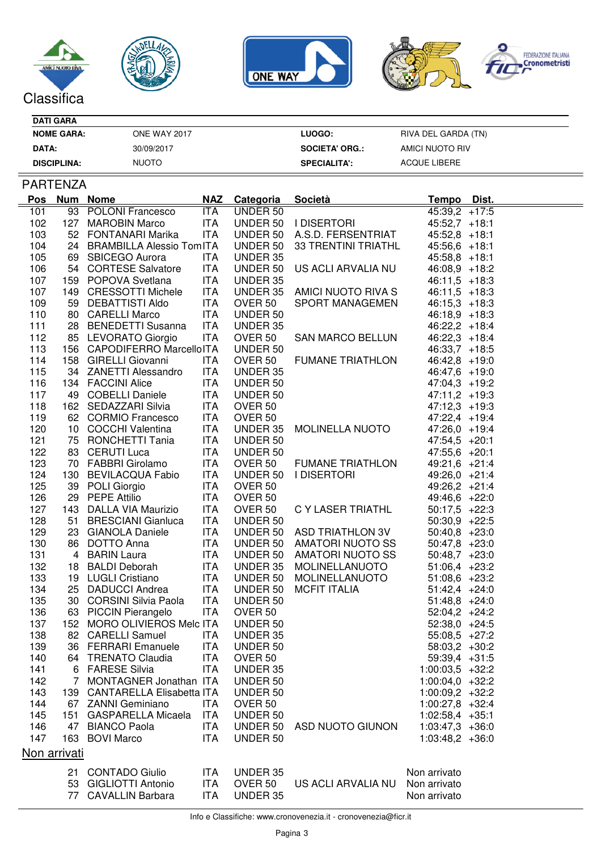







| <b>DATI GARA</b>   |                     |                       |                     |
|--------------------|---------------------|-----------------------|---------------------|
| <b>NOME GARA:</b>  | <b>ONE WAY 2017</b> | LUOGO:                | RIVA DEL GARDA (TN) |
| DATA:              | 30/09/2017          | <b>SOCIETA' ORG.:</b> | AMICI NUOTO RIV     |
| <b>DISCIPLINA:</b> | <b>NUOTO</b>        | <b>SPECIALITA':</b>   | ACQUE LIBERE        |

## PARTENZA

| <u>Pos</u>   |  | Num Nome                                                      | <u>NAZ</u> | <b>Categoria</b> | <u>Società</u>              | <u>Tempo</u>      | <u>Dist.</u> |
|--------------|--|---------------------------------------------------------------|------------|------------------|-----------------------------|-------------------|--------------|
| 101          |  | 93 POLONI Francesco                                           | ITA        | UNDER 50         |                             | $45:39,2$ +17:5   |              |
| 102          |  | 127 MAROBIN Marco                                             | ITA        |                  | UNDER 50   DISERTORI        | $45:52,7$ +18:1   |              |
| 103          |  | 52 FONTANARI Marika                                           | ITA        |                  | UNDER 50 A.S.D. FERSENTRIAT | $45:52,8$ +18:1   |              |
| 104          |  | 24 BRAMBILLA Alessio TomITA                                   |            | UNDER 50         | 33 TRENTINI TRIATHL         | $45:56,6$ +18:1   |              |
| 105          |  | 69 SBICEGO Aurora                                             | ITA        | UNDER 35         |                             | $45:58,8$ +18:1   |              |
| 106          |  | 54 CORTESE Salvatore                                          | <b>ITA</b> |                  | UNDER 50 US ACLI ARVALIA NU | $46:08,9$ +18:2   |              |
| 107          |  | 159 POPOVA Svetlana                                           | ITA        | UNDER 35         |                             | $46:11,5$ +18:3   |              |
| 107          |  | 149 CRESSOTTI Michele                                         | ITA        |                  | UNDER 35 AMICI NUOTO RIVA S | $46:11,5$ +18:3   |              |
| 109          |  | 59 DEBATTISTI Aldo                                            | ITA        | OVER 50          | SPORT MANAGEMEN             | $46:15,3$ +18:3   |              |
| 110          |  | 80 CARELLI Marco                                              | ITA        | UNDER 50         |                             | $46:18,9$ +18:3   |              |
| 111          |  | 28 BENEDETTI Susanna                                          | ITA        | UNDER 35         |                             | $46:22,2$ +18:4   |              |
| 112          |  | 85 LEVORATO Giorgio                                           | ITA        | OVER 50          | <b>SAN MARCO BELLUN</b>     | $46:22,3$ +18:4   |              |
| 113          |  | 156 CAPODIFERRO MarcelloITA                                   |            | UNDER 50         |                             | $46:33,7$ +18:5   |              |
| 114          |  | 158 GIRELLI Giovanni                                          | ITA        | OVER 50          | <b>FUMANE TRIATHLON</b>     | $46:42,8$ +19:0   |              |
| 115          |  | 34 ZANETTI Alessandro                                         | <b>ITA</b> | UNDER 35         |                             |                   |              |
|              |  |                                                               |            |                  |                             | 46:47,6 +19:0     |              |
| 116          |  | 134 FACCINI Alice                                             | ITA        | UNDER 50         |                             | $47:04,3$ +19:2   |              |
| 117          |  | 49 COBELLI Daniele                                            | ITA        | UNDER 50         |                             | $47:11,2$ +19:3   |              |
| 118          |  | 162 SEDAZZARI Silvia                                          | <b>ITA</b> | OVER 50          |                             | $47:12,3$ +19:3   |              |
| 119          |  | 62 CORMIO Francesco                                           | ITA        | OVER 50          |                             | 47:22,4 +19:4     |              |
| 120          |  | 10 COCCHI Valentina                                           | ITA        |                  | UNDER 35 MOLINELLA NUOTO    | 47:26,0 +19:4     |              |
| 121          |  | 75 RONCHETTI Tania                                            | <b>ITA</b> | UNDER 50         |                             | $47:54.5 +20:1$   |              |
| 122          |  | 83 CERUTI Luca                                                | ITA        | UNDER 50         |                             | $47:55,6$ +20:1   |              |
| 123          |  | 70 FABBRI Girolamo<br>130 BEVILACQUA Fabio<br>39 POLI Giorgio | ITA        | OVER 50          | FUMANE TRIATHLON            | 49:21,6 +21:4     |              |
| 124          |  |                                                               | <b>ITA</b> |                  | UNDER 50   DISERTORI        | 49:26,0 +21:4     |              |
| 125          |  |                                                               | ITA        | OVER 50          |                             | 49:26,2 +21:4     |              |
| 126          |  | 29 PEPE Attilio                                               | ITA        | OVER 50          |                             | 49:46,6 +22:0     |              |
| 127          |  | 143 DALLA VIA Maurizio                                        | ITA        | OVER 50          | C Y LASER TRIATHL           | $50:17,5$ +22:3   |              |
| 128          |  | 51 BRESCIANI Gianluca                                         | ITA        | UNDER 50         |                             | $50:30,9$ +22:5   |              |
| 129          |  | 23 GIANOLA Daniele                                            | <b>ITA</b> |                  | UNDER 50 ASD TRIATHLON 3V   | $50:40,8$ +23:0   |              |
| 130          |  | 86 DOTTO Anna                                                 | ITA        |                  | UNDER 50 AMATORI NUOTO SS   | $50:47,8$ +23:0   |              |
| 131          |  | 4 BARIN Laura                                                 | ITA        |                  | UNDER 50 AMATORI NUOTO SS   | $50:48,7$ +23:0   |              |
| 132          |  | 18 BALDI Deborah                                              | <b>ITA</b> | UNDER 35         | MOLINELLANUOTO              | $51:06,4$ +23:2   |              |
| 133          |  | 19 LUGLI Cristiano                                            | ITA        |                  | UNDER 50 MOLINELLANUOTO     | $51:08,6$ +23:2   |              |
| 134          |  | 25 DADUCCI Andrea                                             | ITA        | UNDER 50         | <b>MCFIT ITALIA</b>         | $51:42,4$ +24:0   |              |
| 135          |  | 30 CORSINI Silvia Paola                                       | <b>ITA</b> | UNDER 50         |                             | $51:48,8$ +24:0   |              |
| 136          |  | 63 PICCIN Pierangelo                                          | ITA        | OVER 50          |                             | $52:04,2$ +24:2   |              |
| 137          |  | 152 MORO OLIVIEROS Melc ITA                                   |            | UNDER 50         |                             | $52:38,0$ +24:5   |              |
| 138          |  | 82 CARELLI Samuel                                             | ITA        | UNDER 35         |                             | $55:08,5$ +27:2   |              |
| 139          |  | 36 FERRARI Emanuele                                           | <b>ITA</b> | UNDER 50         |                             | $58:03,2$ +30:2   |              |
| 140          |  | 64 TRENATO Claudia                                            | <b>ITA</b> | OVER 50          |                             | $59:39,4$ +31:5   |              |
| 141          |  | 6 FARESE Silvia                                               | ITA.       | UNDER 35         |                             | $1:00:03.5 +32:2$ |              |
| 142          |  | 7 MONTAGNER Jonathan ITA                                      |            | UNDER 50         |                             | $1:00:04,0$ +32:2 |              |
| 143          |  | 139 CANTARELLA Elisabetta ITA                                 |            | UNDER 50         |                             | $1:00:09,2$ +32:2 |              |
| 144          |  | 67 ZANNI Geminiano                                            | ITA        | OVER 50          |                             | $1:00:27,8$ +32:4 |              |
| 145          |  | 151 GASPARELLA Micaela ITA                                    |            | UNDER 50         |                             | $1:02:58,4$ +35:1 |              |
| 146          |  | 47 BIANCO Paola                                               | <b>ITA</b> | UNDER 50         | ASD NUOTO GIUNON            | $1:03:47,3$ +36:0 |              |
|              |  | 163 BOVI Marco                                                |            |                  |                             |                   |              |
| 147          |  |                                                               | <b>ITA</b> | UNDER 50         |                             | $1:03:48,2$ +36:0 |              |
| Non arrivati |  |                                                               |            |                  |                             |                   |              |
|              |  | 21 CONTADO Giulio                                             | <b>ITA</b> | UNDER 35         |                             | Non arrivato      |              |
|              |  | 53 GIGLIOTTI Antonio                                          | <b>ITA</b> | OVER 50          | US ACLI ARVALIA NU          | Non arrivato      |              |
|              |  | 77 CAVALLIN Barbara                                           | <b>ITA</b> | UNDER 35         |                             | Non arrivato      |              |
|              |  |                                                               |            |                  |                             |                   |              |